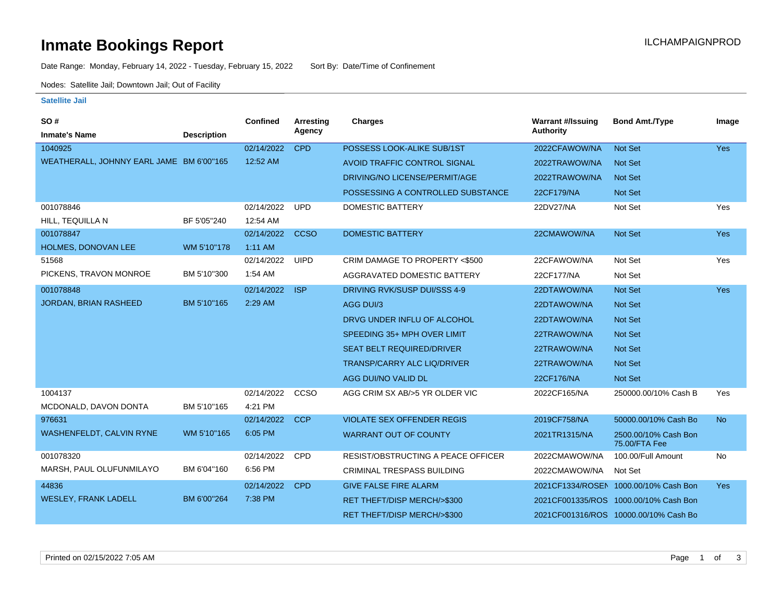# **Inmate Bookings Report Inmate Bookings Report**

Date Range: Monday, February 14, 2022 - Tuesday, February 15, 2022 Sort By: Date/Time of Confinement

Nodes: Satellite Jail; Downtown Jail; Out of Facility

#### **Satellite Jail**

| SO#                                      |                    | <b>Confined</b> | <b>Arresting</b> | <b>Charges</b>                        | <b>Warrant #/Issuing</b> | <b>Bond Amt./Type</b>                 | Image      |
|------------------------------------------|--------------------|-----------------|------------------|---------------------------------------|--------------------------|---------------------------------------|------------|
| <b>Inmate's Name</b>                     | <b>Description</b> |                 | Agency           |                                       | <b>Authority</b>         |                                       |            |
| 1040925                                  |                    | 02/14/2022      | <b>CPD</b>       | POSSESS LOOK-ALIKE SUB/1ST            | 2022CFAWOW/NA            | Not Set                               | <b>Yes</b> |
| WEATHERALL, JOHNNY EARL JAME BM 6'00"165 |                    | 12:52 AM        |                  | AVOID TRAFFIC CONTROL SIGNAL          | 2022TRAWOW/NA            | <b>Not Set</b>                        |            |
|                                          |                    |                 |                  | DRIVING/NO LICENSE/PERMIT/AGE         | 2022TRAWOW/NA            | <b>Not Set</b>                        |            |
|                                          |                    |                 |                  | POSSESSING A CONTROLLED SUBSTANCE     | 22CF179/NA               | <b>Not Set</b>                        |            |
| 001078846                                |                    | 02/14/2022      | <b>UPD</b>       | DOMESTIC BATTERY                      | 22DV27/NA                | Not Set                               | Yes        |
| HILL, TEQUILLA N                         | BF 5'05"240        | 12:54 AM        |                  |                                       |                          |                                       |            |
| 001078847                                |                    | 02/14/2022      | <b>CCSO</b>      | <b>DOMESTIC BATTERY</b>               | 22CMAWOW/NA              | <b>Not Set</b>                        | Yes        |
| <b>HOLMES, DONOVAN LEE</b>               | WM 5'10"178        | $1:11$ AM       |                  |                                       |                          |                                       |            |
| 51568                                    |                    | 02/14/2022      | <b>UIPD</b>      | CRIM DAMAGE TO PROPERTY <\$500        | 22CFAWOW/NA              | Not Set                               | Yes        |
| PICKENS, TRAVON MONROE                   | BM 5'10"300        | 1:54 AM         |                  | AGGRAVATED DOMESTIC BATTERY           | 22CF177/NA               | Not Set                               |            |
| 001078848                                |                    | 02/14/2022      | <b>ISP</b>       | DRIVING RVK/SUSP DUI/SSS 4-9          | 22DTAWOW/NA              | <b>Not Set</b>                        | Yes        |
| JORDAN, BRIAN RASHEED                    | BM 5'10"165        | 2:29 AM         |                  | AGG DUI/3                             | 22DTAWOW/NA              | <b>Not Set</b>                        |            |
|                                          |                    |                 |                  | DRVG UNDER INFLU OF ALCOHOL           | 22DTAWOW/NA              | Not Set                               |            |
|                                          |                    |                 |                  | SPEEDING 35+ MPH OVER LIMIT           | 22TRAWOW/NA              | <b>Not Set</b>                        |            |
|                                          |                    |                 |                  | <b>SEAT BELT REQUIRED/DRIVER</b>      | 22TRAWOW/NA              | <b>Not Set</b>                        |            |
|                                          |                    |                 |                  | TRANSP/CARRY ALC LIQ/DRIVER           | 22TRAWOW/NA              | <b>Not Set</b>                        |            |
|                                          |                    |                 |                  | AGG DUI/NO VALID DL                   | 22CF176/NA               | <b>Not Set</b>                        |            |
| 1004137                                  |                    | 02/14/2022      | CCSO             | AGG CRIM SX AB/>5 YR OLDER VIC        | 2022CF165/NA             | 250000.00/10% Cash B                  | Yes        |
| MCDONALD, DAVON DONTA                    | BM 5'10"165        | 4:21 PM         |                  |                                       |                          |                                       |            |
| 976631                                   |                    | 02/14/2022      | <b>CCP</b>       | <b>VIOLATE SEX OFFENDER REGIS</b>     | 2019CF758/NA             | 50000.00/10% Cash Bo                  | <b>No</b>  |
| <b>WASHENFELDT, CALVIN RYNE</b>          | WM 5'10"165        | 6:05 PM         |                  | <b>WARRANT OUT OF COUNTY</b>          | 2021TR1315/NA            | 2500.00/10% Cash Bon<br>75.00/FTA Fee |            |
| 001078320                                |                    | 02/14/2022      | CPD              | RESIST/OBSTRUCTING A PEACE OFFICER    | 2022CMAWOW/NA            | 100.00/Full Amount                    | No         |
| MARSH, PAUL OLUFUNMILAYO                 | BM 6'04"160        | 6:56 PM         |                  | CRIMINAL TRESPASS BUILDING            | 2022CMAWOW/NA            | Not Set                               |            |
| 44836                                    |                    | 02/14/2022      | <b>CPD</b>       | <b>GIVE FALSE FIRE ALARM</b>          |                          | 2021CF1334/ROSEN 1000.00/10% Cash Bon | <b>Yes</b> |
| <b>WESLEY, FRANK LADELL</b>              | BM 6'00"264        | 7:38 PM         |                  | RET THEFT/DISP MERCH/>\$300           |                          | 2021CF001335/ROS 1000.00/10% Cash Bon |            |
|                                          |                    |                 |                  | <b>RET THEFT/DISP MERCH/&gt;\$300</b> |                          | 2021CF001316/ROS 10000.00/10% Cash Bo |            |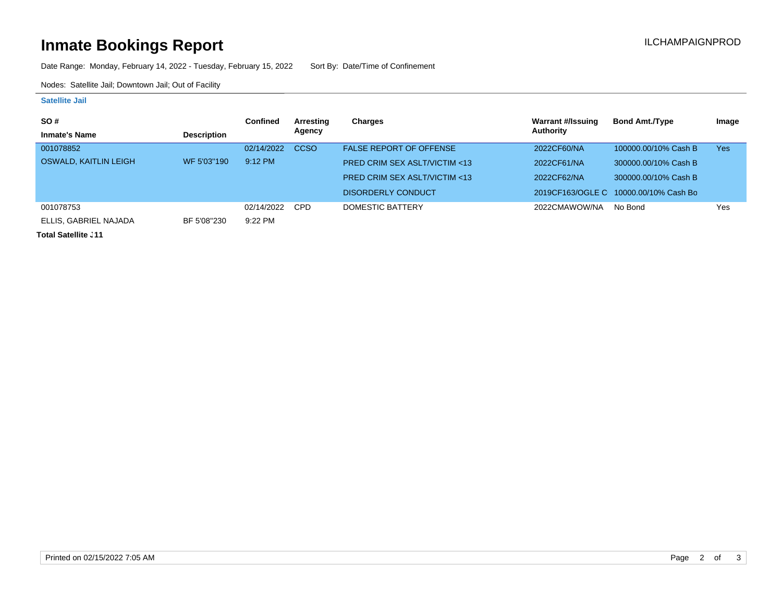# **Inmate Bookings Report Installation Control Control Control Control Control Control Control Control Control Control Control Control Control Control Control Control Control Control Control Control Control Control Control**

Date Range: Monday, February 14, 2022 - Tuesday, February 15, 2022 Sort By: Date/Time of Confinement

Nodes: Satellite Jail; Downtown Jail; Out of Facility

### **Satellite Jail**

| <b>SO#</b>            |                    | <b>Confined</b> | Arresting   | Charges                                 | Warrant #/Issuing | <b>Bond Amt./Type</b>                 | Image      |
|-----------------------|--------------------|-----------------|-------------|-----------------------------------------|-------------------|---------------------------------------|------------|
| <b>Inmate's Name</b>  | <b>Description</b> |                 | Agency      |                                         | Authority         |                                       |            |
| 001078852             |                    | 02/14/2022      | <b>CCSO</b> | <b>FALSE REPORT OF OFFENSE</b>          | 2022CF60/NA       | 100000.00/10% Cash B                  | <b>Yes</b> |
| OSWALD, KAITLIN LEIGH | WF 5'03"190        | $9:12$ PM       |             | <b>PRED CRIM SEX ASLT/VICTIM &lt;13</b> | 2022CF61/NA       | 300000.00/10% Cash B                  |            |
|                       |                    |                 |             | <b>PRED CRIM SEX ASLT/VICTIM &lt;13</b> | 2022CF62/NA       | 300000.00/10% Cash B                  |            |
|                       |                    |                 |             | DISORDERLY CONDUCT                      |                   | 2019CF163/OGLE C 10000.00/10% Cash Bo |            |
| 001078753             |                    | 02/14/2022      | <b>CPD</b>  | DOMESTIC BATTERY                        | 2022CMAWOW/NA     | No Bond                               | Yes        |
| ELLIS, GABRIEL NAJADA | BF 5'08"230        | $9:22$ PM       |             |                                         |                   |                                       |            |

**Total Satellite . 11**